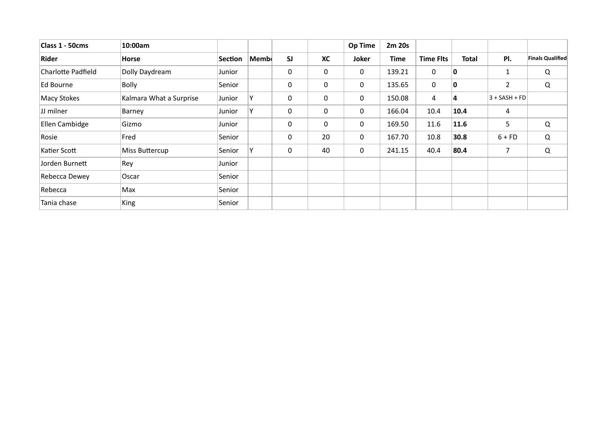| Class 1 - 50cms           | 10:00am                 |         |              |             |             | <b>Op Time</b> | 2m 20s      |                  |              |                 |                         |
|---------------------------|-------------------------|---------|--------------|-------------|-------------|----------------|-------------|------------------|--------------|-----------------|-------------------------|
| <b>Rider</b>              | <b>Horse</b>            | Section | $ $ Memb $ $ | <b>SJ</b>   | <b>XC</b>   | <b>Joker</b>   | <b>Time</b> | <b>Time Flts</b> | <b>Total</b> | PI.             | <b>Finals Qualified</b> |
| <b>Charlotte Padfield</b> | Dolly Daydream          | Junior  |              | $\mathbf 0$ | $\mathbf 0$ | $\mathbf 0$    | 139.21      | $\mathbf 0$      | 10           | $\mathbf{1}$    | Q                       |
| Ed Bourne                 | <b>Bolly</b>            | Senior  |              | $\mathbf 0$ | $\mathbf 0$ | $\mathbf 0$    | 135.65      | $\overline{0}$   | 10           | $\overline{2}$  | Q                       |
| <b>Macy Stokes</b>        | Kalmara What a Surprise | Junior  | ٧            | $\mathbf 0$ | $\mathbf 0$ | $\mathbf 0$    | 150.08      | $\overline{4}$   | $\vert$ 4    | $3 + SASH + FD$ |                         |
| JJ milner                 | Barney                  | Junior  | Υ            | $\mathbf 0$ | $\mathbf 0$ | $\mathbf 0$    | 166.04      | 10.4             | 10.4         | $\overline{4}$  |                         |
| Ellen Cambidge            | Gizmo                   | Junior  |              | $\mathbf 0$ | $\mathbf 0$ | $\mathbf 0$    | 169.50      | 11.6             | 11.6         | 5               | Q                       |
| Rosie                     | Fred                    | Senior  |              | $\mathbf 0$ | 20          | $\mathbf 0$    | 167.70      | 10.8             | 30.8         | $6 + FD$        | Q                       |
| Katier Scott              | <b>Miss Buttercup</b>   | Senior  | Υ            | $\mathbf 0$ | 40          | $\mathbf 0$    | 241.15      | 40.4             | 80.4         | $\overline{7}$  | Q                       |
| Jorden Burnett            | Rey                     | Junior  |              |             |             |                |             |                  |              |                 |                         |
| <b>Rebecca Dewey</b>      | Oscar                   | Senior  |              |             |             |                |             |                  |              |                 |                         |
| Rebecca                   | Max                     | Senior  |              |             |             |                |             |                  |              |                 |                         |
| Tania chase               | <b>King</b>             | Senior  |              |             |             |                |             |                  |              |                 |                         |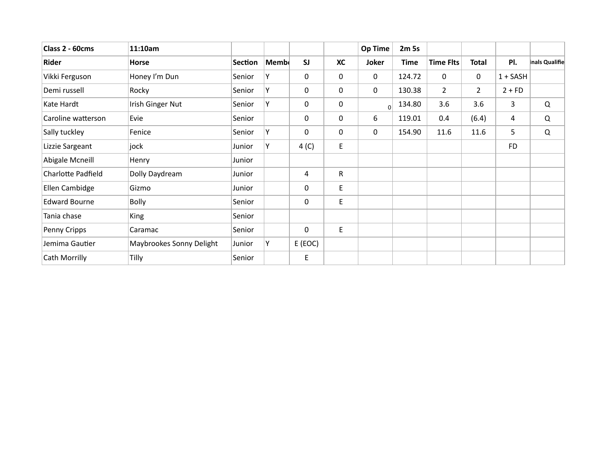| Class 2 - 60cms           | 11:10am                  |                |      |                  |                    | <b>Op Time</b> | 2m 5s       |                  |                |                |                |
|---------------------------|--------------------------|----------------|------|------------------|--------------------|----------------|-------------|------------------|----------------|----------------|----------------|
| Rider                     | <b>Horse</b>             | <b>Section</b> | Memb | <b>SJ</b>        | <b>XC</b>          | <b>Joker</b>   | <b>Time</b> | <b>Time Flts</b> | <b>Total</b>   | PI.            | inals Qualifie |
| Vikki Ferguson            | Honey I'm Dun            | Senior         | Y    | $\mathbf 0$      | $\mathbf 0$        | $\mathbf 0$    | 124.72      | $\mathbf 0$      | $\mathbf 0$    | $1 + SASH$     |                |
| Demi russell              | Rocky                    | Senior         | Y    | $\mathbf 0$      | $\mathbf 0$        | $\mathbf 0$    | 130.38      | $2^{\circ}$      | $\overline{2}$ | $2 + FD$       |                |
| Kate Hardt                | Irish Ginger Nut         | Senior         | Y    | $\mathbf 0$      | $\mathbf 0$        | $\overline{0}$ | 134.80      | 3.6              | 3.6            | $\overline{3}$ | Q              |
| Caroline watterson        | Evie                     | Senior         |      | $\mathbf 0$      | $\mathbf 0$        | 6              | 119.01      | 0.4              | (6.4)          | 4              | $\Omega$       |
| Sally tuckley             | Fenice                   | Senior         | Y    | $\mathbf 0$      | 0                  | $\mathbf 0$    | 154.90      | 11.6             | 11.6           | 5              | $\Omega$       |
| Lizzie Sargeant           | jock                     | Junior         | Y    | 4 <sup>(C)</sup> | E                  |                |             |                  |                | <b>FD</b>      |                |
| <b>Abigale Mcneill</b>    | Henry                    | Junior         |      |                  |                    |                |             |                  |                |                |                |
| <b>Charlotte Padfield</b> | Dolly Daydream           | Junior         |      | $\overline{4}$   | $\mathsf{R}$       |                |             |                  |                |                |                |
| Ellen Cambidge            | Gizmo                    | Junior         |      | $\mathbf 0$      | $\mathsf{E}% _{0}$ |                |             |                  |                |                |                |
| <b>Edward Bourne</b>      | <b>Bolly</b>             | Senior         |      | $\mathbf 0$      | E                  |                |             |                  |                |                |                |
| Tania chase               | <b>King</b>              | Senior         |      |                  |                    |                |             |                  |                |                |                |
| Penny Cripps              | Caramac                  | Senior         |      | $\mathbf 0$      | E                  |                |             |                  |                |                |                |
| Jemima Gautier            | Maybrookes Sonny Delight | Junior         | Y    | E (EOC)          |                    |                |             |                  |                |                |                |
| <b>Cath Morrilly</b>      | Tilly                    | Senior         |      | E                |                    |                |             |                  |                |                |                |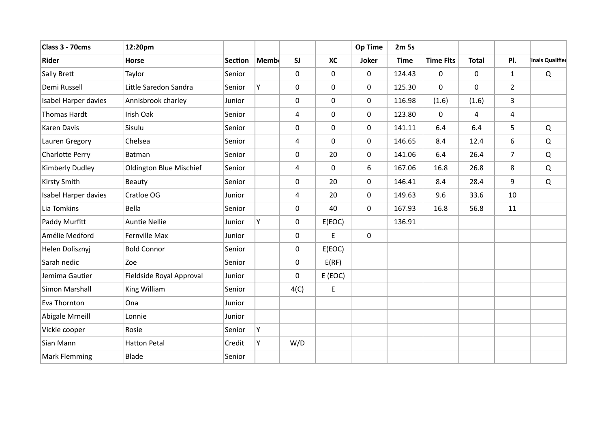| Class 3 - 70cms        | 12:20pm                        |                |             |             |                  | <b>Op Time</b> | 2m 5s       |                  |                |                |                 |
|------------------------|--------------------------------|----------------|-------------|-------------|------------------|----------------|-------------|------------------|----------------|----------------|-----------------|
| <b>Rider</b>           | <b>Horse</b>                   | <b>Section</b> | <b>Memb</b> | <b>SJ</b>   | <b>XC</b>        | <b>Joker</b>   | <b>Time</b> | <b>Time Flts</b> | <b>Total</b>   | PI.            | inals Qualified |
| Sally Brett            | Taylor                         | Senior         |             | $\mathbf 0$ | $\mathbf 0$      | $\mathbf 0$    | 124.43      | $\overline{0}$   | $\mathbf 0$    | $\mathbf{1}$   | $\Omega$        |
| Demi Russell           | Little Saredon Sandra          | Senior         | Y           | $\mathbf 0$ | $\mathbf 0$      | $\mathbf 0$    | 125.30      | $\mathbf 0$      | $\mathbf 0$    | $\overline{2}$ |                 |
| Isabel Harper davies   | Annisbrook charley             | Junior         |             | $\mathbf 0$ | $\mathbf 0$      | $\mathbf 0$    | 116.98      | (1.6)            | (1.6)          | 3              |                 |
| Thomas Hardt           | Irish Oak                      | Senior         |             | 4           | $\mathbf 0$      | $\mathbf 0$    | 123.80      | $\mathbf 0$      | $\overline{4}$ | $\overline{4}$ |                 |
| <b>Karen Davis</b>     | Sisulu                         | Senior         |             | $\mathbf 0$ | $\mathbf 0$      | $\mathbf 0$    | 141.11      | 6.4              | 6.4            | 5              | Q               |
| Lauren Gregory         | Chelsea                        | Senior         |             | 4           | $\mathbf 0$      | $\mathbf 0$    | 146.65      | 8.4              | 12.4           | 6              | Q               |
| <b>Charlotte Perry</b> | Batman                         | Senior         |             | $\mathbf 0$ | 20               | $\mathbf 0$    | 141.06      | 6.4              | 26.4           | $\overline{7}$ | Q               |
| <b>Kimberly Dudley</b> | <b>Oldington Blue Mischief</b> | Senior         |             | 4           | $\boldsymbol{0}$ | 6              | 167.06      | 16.8             | 26.8           | 8              | Q               |
| <b>Kirsty Smith</b>    | <b>Beauty</b>                  | Senior         |             | $\pmb{0}$   | 20               | $\mathbf 0$    | 146.41      | 8.4              | 28.4           | 9              | Q               |
| Isabel Harper davies   | Cratloe OG                     | Junior         |             | 4           | 20               | $\mathbf 0$    | 149.63      | 9.6              | 33.6           | 10             |                 |
| Lia Tomkins            | Bella                          | Senior         |             | $\pmb{0}$   | 40               | $\mathbf 0$    | 167.93      | 16.8             | 56.8           | 11             |                 |
| Paddy Murfitt          | <b>Auntie Nellie</b>           | Junior         | Y           | $\pmb{0}$   | E(EOC)           |                | 136.91      |                  |                |                |                 |
| Amélie Medford         | Fernville Max                  | Junior         |             | $\pmb{0}$   | $\mathsf E$      | $\mathbf 0$    |             |                  |                |                |                 |
| Helen Dolisznyj        | <b>Bold Connor</b>             | Senior         |             | $\pmb{0}$   | E(EOC)           |                |             |                  |                |                |                 |
| Sarah nedic            | Zoe                            | Senior         |             | $\pmb{0}$   | E(RF)            |                |             |                  |                |                |                 |
| Jemima Gautier         | Fieldside Royal Approval       | Junior         |             | $\pmb{0}$   | E (EOC)          |                |             |                  |                |                |                 |
| <b>Simon Marshall</b>  | King William                   | Senior         |             | 4(C)        | E                |                |             |                  |                |                |                 |
| Eva Thornton           | Ona                            | Junior         |             |             |                  |                |             |                  |                |                |                 |
| Abigale Mrneill        | Lonnie                         | Junior         |             |             |                  |                |             |                  |                |                |                 |
| Vickie cooper          | Rosie                          | Senior         | Ý           |             |                  |                |             |                  |                |                |                 |
| Sian Mann              | <b>Hatton Petal</b>            | Credit         |             | W/D         |                  |                |             |                  |                |                |                 |
| <b>Mark Flemming</b>   | Blade                          | Senior         |             |             |                  |                |             |                  |                |                |                 |